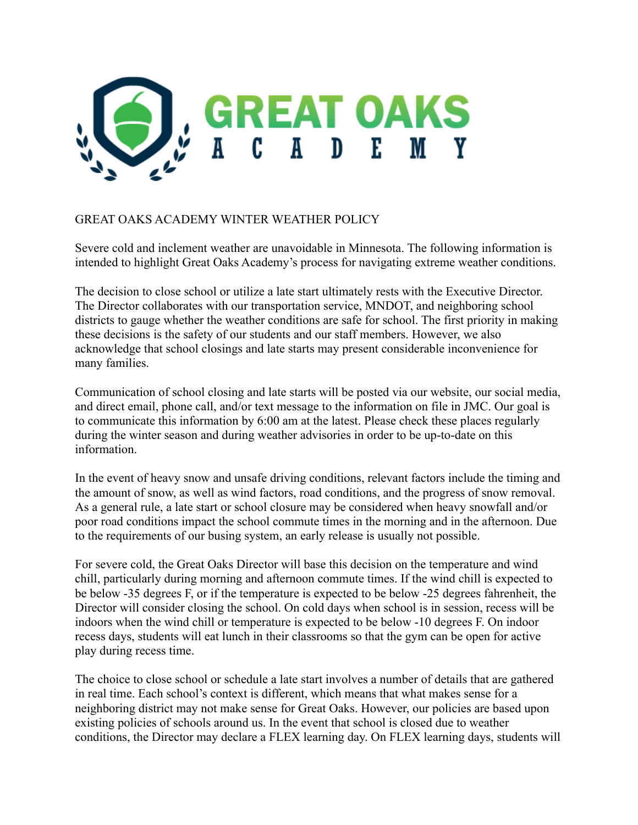

## GREAT OAKS ACADEMY WINTER WEATHER POLICY

Severe cold and inclement weather are unavoidable in Minnesota. The following information is intended to highlight Great Oaks Academy's process for navigating extreme weather conditions.

The decision to close school or utilize a late start ultimately rests with the Executive Director. The Director collaborates with our transportation service, MNDOT, and neighboring school districts to gauge whether the weather conditions are safe for school. The first priority in making these decisions is the safety of our students and our staff members. However, we also acknowledge that school closings and late starts may present considerable inconvenience for many families.

Communication of school closing and late starts will be posted via our website, our social media, and direct email, phone call, and/or text message to the information on file in JMC. Our goal is to communicate this information by 6:00 am at the latest. Please check these places regularly during the winter season and during weather advisories in order to be up-to-date on this information.

In the event of heavy snow and unsafe driving conditions, relevant factors include the timing and the amount of snow, as well as wind factors, road conditions, and the progress of snow removal. As a general rule, a late start or school closure may be considered when heavy snowfall and/or poor road conditions impact the school commute times in the morning and in the afternoon. Due to the requirements of our busing system, an early release is usually not possible.

For severe cold, the Great Oaks Director will base this decision on the temperature and wind chill, particularly during morning and afternoon commute times. If the wind chill is expected to be below -35 degrees F, or if the temperature is expected to be below -25 degrees fahrenheit, the Director will consider closing the school. On cold days when school is in session, recess will be indoors when the wind chill or temperature is expected to be below -10 degrees F. On indoor recess days, students will eat lunch in their classrooms so that the gym can be open for active play during recess time.

The choice to close school or schedule a late start involves a number of details that are gathered in real time. Each school's context is different, which means that what makes sense for a neighboring district may not make sense for Great Oaks. However, our policies are based upon existing policies of schools around us. In the event that school is closed due to weather conditions, the Director may declare a FLEX learning day. On FLEX learning days, students will